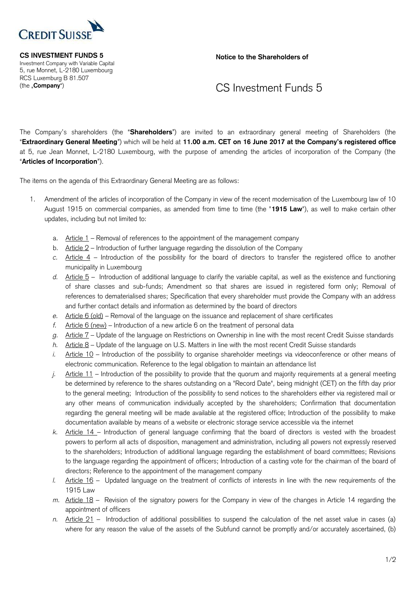

 Investment Company with Variable Capital 5, rue Monnet, L-2180 Luxembourg RCS Luxemburg B 81.507

**CS INVESTMENT FUNDS 5 Notice to the Shareholders of Allen Shareholders of Allen Shareholders of** 

## (the "**Company**") CS Investment Funds 5

 The Company's shareholders (the "**Shareholders**") are invited to an extraordinary general meeting of Shareholders (the "**Extraordinary General Meeting**") which will be held at **11.00 a.m. CET on 16 June 2017 at the Company's registered office** at 5, rue Jean Monnet, L-2180 Luxembourg, with the purpose of amending the articles of incorporation of the Company (the "**Articles of Incorporation**").

The items on the agenda of this Extraordinary General Meeting are as follows:

- 1. Amendment of the articles of incorporation of the Company in view of the recent modernisation of the Luxembourg law of 10 August 1915 on commercial companies, as amended from time to time (the "**1915 Law**"), as well to make certain other updates, including but not limited to:
	- a. Article 1 Removal of references to the appointment of the management company
	- b. Article 2 Introduction of further language regarding the dissolution of the Company
	- *c.* Article 4 Introduction of the possibility for the board of directors to transfer the registered office to another municipality in Luxembourg
	- *d.* Article 5 Introduction of additional language to clarify the variable capital, as well as the existence and functioning of share classes and sub-funds; Amendment so that shares are issued in registered form only; Removal of references to dematerialised shares; Specification that every shareholder must provide the Company with an address and further contact details and information as determined by the board of directors
	- *e.* Article 6 (old) Removal of the language on the issuance and replacement of share certificates
	- *f.* Article 6 (new) Introduction of a new article 6 on the treatment of personal data
	- *g.* Article 7 Update of the language on Restrictions on Ownership in line with the most recent Credit Suisse standards
	- *h.* Article 8 Update of the language on U.S. Matters in line with the most recent Credit Suisse standards
	- *i.* Article 10 Introduction of the possibility to organise shareholder meetings via videoconference or other means of electronic communication. Reference to the legal obligation to maintain an attendance list
	- *j.* Article 11 Introduction of the possibility to provide that the quorum and majority requirements at a general meeting be determined by reference to the shares outstanding on a "Record Date", being midnight (CET) on the fifth day prior to the general meeting; Introduction of the possibility to send notices to the shareholders either via registered mail or any other means of communication individually accepted by the shareholders; Confirmation that documentation regarding the general meeting will be made available at the registered office; Introduction of the possibility to make documentation available by means of a website or electronic storage service accessible via the internet
	- *k.* Article 14 Introduction of general language confirming that the board of directors is vested with the broadest powers to perform all acts of disposition, management and administration, including all powers not expressly reserved to the shareholders; Introduction of additional language regarding the establishment of board committees; Revisions to the language regarding the appointment of officers; Introduction of a casting vote for the chairman of the board of directors; Reference to the appointment of the management company
	- *l.* Article 16 Updated language on the treatment of conflicts of interests in line with the new requirements of the 1915 Law
	- *m.* Article 18 Revision of the signatory powers for the Company in view of the changes in Article 14 regarding the appointment of officers
	- *n.* Article 21 Introduction of additional possibilities to suspend the calculation of the net asset value in cases (a) where for any reason the value of the assets of the Subfund cannot be promptly and/or accurately ascertained, (b)